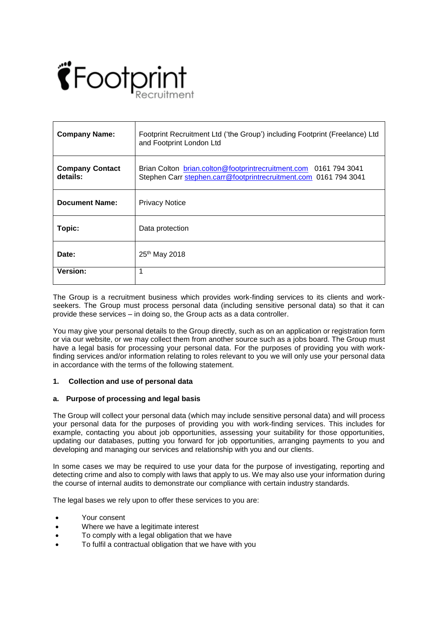

| <b>Company Name:</b>               | Footprint Recruitment Ltd ('the Group') including Footprint (Freelance) Ltd<br>and Footprint London Ltd                              |
|------------------------------------|--------------------------------------------------------------------------------------------------------------------------------------|
| <b>Company Contact</b><br>details: | Brian Colton brian.colton@footprintrecruitment.com 0161 794 3041<br>Stephen Carr stephen.carr@footprintrecruitment.com 0161 794 3041 |
| <b>Document Name:</b>              | <b>Privacy Notice</b>                                                                                                                |
| Topic:                             | Data protection                                                                                                                      |
| Date:                              | 25 <sup>th</sup> May 2018                                                                                                            |
| <b>Version:</b>                    | 1                                                                                                                                    |

The Group is a recruitment business which provides work-finding services to its clients and workseekers. The Group must process personal data (including sensitive personal data) so that it can provide these services – in doing so, the Group acts as a data controller.

You may give your personal details to the Group directly, such as on an application or registration form or via our website, or we may collect them from another source such as a jobs board. The Group must have a legal basis for processing your personal data. For the purposes of providing you with workfinding services and/or information relating to roles relevant to you we will only use your personal data in accordance with the terms of the following statement.

# **1. Collection and use of personal data**

## **a. Purpose of processing and legal basis**

The Group will collect your personal data (which may include sensitive personal data) and will process your personal data for the purposes of providing you with work-finding services. This includes for example, contacting you about job opportunities, assessing your suitability for those opportunities, updating our databases, putting you forward for job opportunities, arranging payments to you and developing and managing our services and relationship with you and our clients.

In some cases we may be required to use your data for the purpose of investigating, reporting and detecting crime and also to comply with laws that apply to us. We may also use your information during the course of internal audits to demonstrate our compliance with certain industry standards.

The legal bases we rely upon to offer these services to you are:

- Your consent
- Where we have a legitimate interest
- To comply with a legal obligation that we have
- To fulfil a contractual obligation that we have with you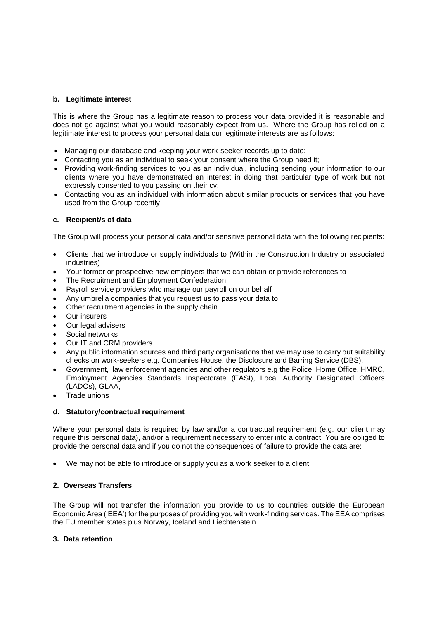## **b. Legitimate interest**

This is where the Group has a legitimate reason to process your data provided it is reasonable and does not go against what you would reasonably expect from us. Where the Group has relied on a legitimate interest to process your personal data our legitimate interests are as follows:

- Managing our database and keeping your work-seeker records up to date;
- Contacting you as an individual to seek your consent where the Group need it;
- Providing work-finding services to you as an individual, including sending your information to our clients where you have demonstrated an interest in doing that particular type of work but not expressly consented to you passing on their cv;
- Contacting you as an individual with information about similar products or services that you have used from the Group recently

## **c. Recipient/s of data**

The Group will process your personal data and/or sensitive personal data with the following recipients:

- Clients that we introduce or supply individuals to (Within the Construction Industry or associated industries)
- Your former or prospective new employers that we can obtain or provide references to
- The Recruitment and Employment Confederation
- Payroll service providers who manage our payroll on our behalf
- Any umbrella companies that you request us to pass your data to
- Other recruitment agencies in the supply chain
- Our insurers
- Our legal advisers
- Social networks
- Our IT and CRM providers
- Any public information sources and third party organisations that we may use to carry out suitability checks on work-seekers e.g. Companies House, the Disclosure and Barring Service (DBS),
- Government, law enforcement agencies and other regulators e.g the Police, Home Office, HMRC, Employment Agencies Standards Inspectorate (EASI), Local Authority Designated Officers (LADOs), GLAA,
- Trade unions

### **d. Statutory/contractual requirement**

Where your personal data is required by law and/or a contractual requirement (e.g. our client may require this personal data), and/or a requirement necessary to enter into a contract. You are obliged to provide the personal data and if you do not the consequences of failure to provide the data are:

We may not be able to introduce or supply you as a work seeker to a client

### **2. Overseas Transfers**

The Group will not transfer the information you provide to us to countries outside the European Economic Area ('EEA') for the purposes of providing you with work-finding services. The EEA comprises the EU member states plus Norway, Iceland and Liechtenstein.

### **3. Data retention**